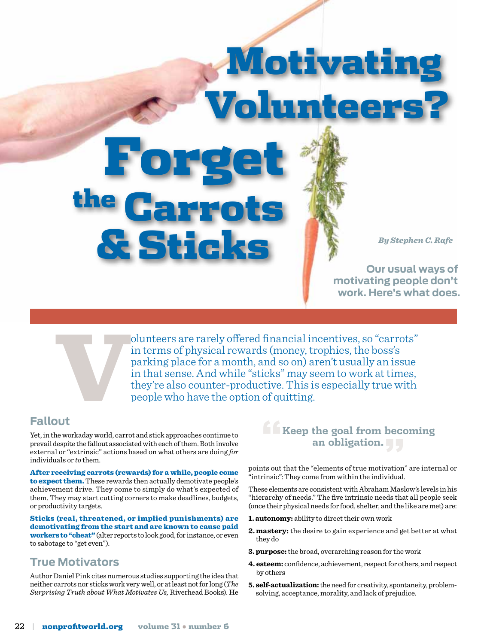Motivati unteer

**By Stephen C. Rafe** 

**Our usual ways of motivating people don't work. Here's what does.**

olunteers are rarely offered financial incentives, so "carrots"<br>in terms of physical rewards (money, trophies, the boss's<br>parking place for a month, and so on) aren't usually an issue<br>in that sense. And while "sticks" may in terms of physical rewards (money, trophies, the boss's parking place for a month, and so on) aren't usually an issue in that sense. And while "sticks" may seem to work at times, they're also counter-productive. This is especially true with people who have the option of quitting.

#### **Fallout**

Yet, in the workaday world, carrot and stick approaches continue to prevail despite the fallout associated with each of them. Both involve external or "extrinsic" actions based on what others are doing *for* individuals or *to* them.

Forget

the Carrots

After receiving carrots (rewards) for a while, people come to expect them. These rewards then actually demotivate people's achievement drive. They come to simply do what's expected of them. They may start cutting corners to make deadlines, budgets, or productivity targets.

Sticks (real, threatened, or implied punishments) are demotivating from the start and are known to cause paid workers to "cheat" (alter reports to look good, for instance, or even to sabotage to "get even").

#### **True Motivators**

Author Daniel Pink cites numerous studies supporting the idea that neither carrots nor sticks work very well, or at least not for long (*The Surprising Truth about What Motivates Us,* Riverhead Books). He

## **"Keep the goal from becoming an obligation."**

points out that the "elements of true motivation" are internal or "intrinsic": They come from within the individual.

These elements are consistent with Abraham Maslow's levels in his "hierarchy of needs." The five intrinsic needs that all people seek (once their physical needs for food, shelter, and the like are met) are:

- **1. autonomy:** ability to direct their own work
- **2. mastery:** the desire to gain experience and get better at what they do
- **3. purpose:**the broad, overarching reason for the work
- **4. esteem:** confidence, achievement, respect for others, and respect by others
- **5. self-actualization:** the need for creativity, spontaneity, problemsolving, acceptance, morality, and lack of prejudice.